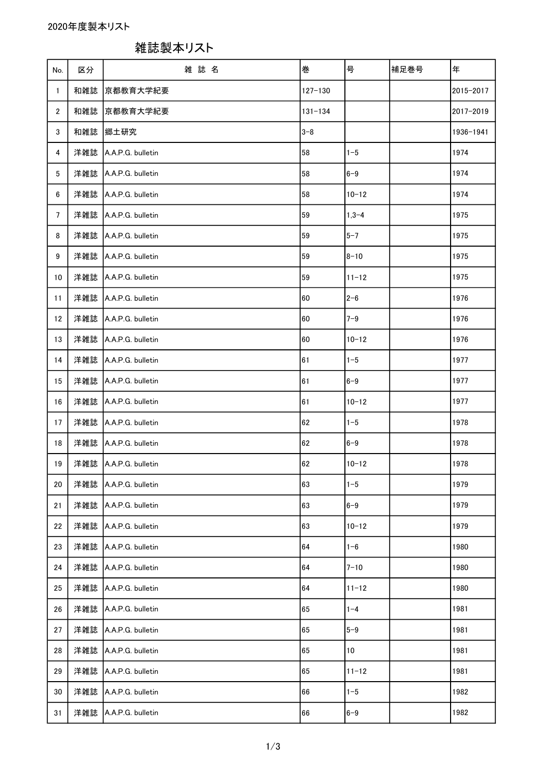雑誌製本リスト

| No.            | 区分  | 雑誌名               | 巻           | 号         | 補足巻号 | 年         |
|----------------|-----|-------------------|-------------|-----------|------|-----------|
| 1              | 和雑誌 | 京都教育大学紀要          | $127 - 130$ |           |      | 2015-2017 |
| $\overline{2}$ | 和雑誌 | 京都教育大学紀要          | $131 - 134$ |           |      | 2017-2019 |
| 3              | 和雑誌 | 郷土研究              | $3 - 8$     |           |      | 1936-1941 |
| 4              | 洋雑誌 | A.A.P.G. bulletin | 58          | $1 - 5$   |      | 1974      |
| 5              | 洋雑誌 | A.A.P.G. bulletin | 58          | $6 - 9$   |      | 1974      |
| 6              | 洋雑誌 | A.A.P.G. bulletin | 58          | $10 - 12$ |      | 1974      |
| $\overline{7}$ | 洋雑誌 | A.A.P.G. bulletin | 59          | $1,3 - 4$ |      | 1975      |
| 8              | 洋雑誌 | A.A.P.G. bulletin | 59          | $5 - 7$   |      | 1975      |
| 9              | 洋雑誌 | A.A.P.G. bulletin | 59          | $8 - 10$  |      | 1975      |
| 10             | 洋雑誌 | A.A.P.G. bulletin | 59          | $11 - 12$ |      | 1975      |
| 11             | 洋雑誌 | A.A.P.G. bulletin | 60          | $2 - 6$   |      | 1976      |
| 12             | 洋雑誌 | A.A.P.G. bulletin | 60          | $7 - 9$   |      | 1976      |
| 13             | 洋雑誌 | A.A.P.G. bulletin | 60          | $10 - 12$ |      | 1976      |
| 14             | 洋雑誌 | A.A.P.G. bulletin | 61          | $1 - 5$   |      | 1977      |
| 15             | 洋雑誌 | A.A.P.G. bulletin | 61          | $6 - 9$   |      | 1977      |
| 16             | 洋雑誌 | A.A.P.G. bulletin | 61          | $10 - 12$ |      | 1977      |
| 17             | 洋雑誌 | A.A.P.G. bulletin | 62          | $1 - 5$   |      | 1978      |
| 18             | 洋雑誌 | A.A.P.G. bulletin | 62          | $6 - 9$   |      | 1978      |
| 19             | 洋雑誌 | A.A.P.G. bulletin | 62          | $10 - 12$ |      | 1978      |
| 20             | 洋雑誌 | A.A.P.G. bulletin | 63          | $1 - 5$   |      | 1979      |
| 21             | 洋雑誌 | A.A.P.G. bulletin | 63          | $6 - 9$   |      | 1979      |
| 22             | 洋雑誌 | A.A.P.G. bulletin | 63          | $10 - 12$ |      | 1979      |
| 23             | 洋雑誌 | A.A.P.G. bulletin | 64          | $1 - 6$   |      | 1980      |
| 24             | 洋雑誌 | A.A.P.G. bulletin | 64          | $7 - 10$  |      | 1980      |
| 25             | 洋雑誌 | A.A.P.G. bulletin | 64          | $11 - 12$ |      | 1980      |
| 26             | 洋雑誌 | A.A.P.G. bulletin | 65          | $1 - 4$   |      | 1981      |
| 27             | 洋雑誌 | A.A.P.G. bulletin | 65          | $5-9$     |      | 1981      |
| 28             | 洋雑誌 | A.A.P.G. bulletin | 65          | 10        |      | 1981      |
| 29             | 洋雑誌 | A.A.P.G. bulletin | 65          | $11 - 12$ |      | 1981      |
| 30             | 洋雑誌 | A.A.P.G. bulletin | 66          | $1 - 5$   |      | 1982      |
| 31             | 洋雑誌 | A.A.P.G. bulletin | 66          | $6 - 9$   |      | 1982      |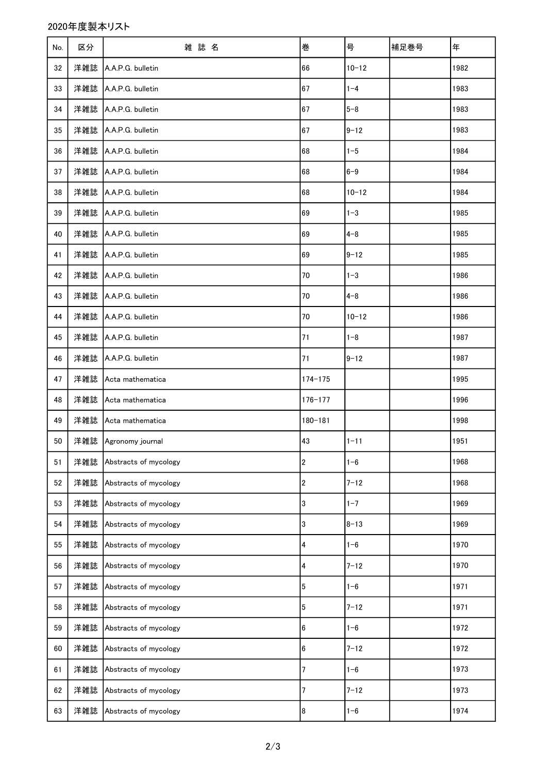## 2020年度製本リスト

| No. | 区分  | 雑誌名                   | 巻                | 号         | 補足巻号 | 年    |
|-----|-----|-----------------------|------------------|-----------|------|------|
| 32  | 洋雑誌 | A.A.P.G. bulletin     | 66               | $10 - 12$ |      | 1982 |
| 33  | 洋雑誌 | A.A.P.G. bulletin     | 67               | $1 - 4$   |      | 1983 |
| 34  | 洋雑誌 | A.A.P.G. bulletin     | 67               | $5 - 8$   |      | 1983 |
| 35  | 洋雑誌 | A.A.P.G. bulletin     | 67               | $9 - 12$  |      | 1983 |
| 36  | 洋雑誌 | A.A.P.G. bulletin     | 68               | $1 - 5$   |      | 1984 |
| 37  | 洋雑誌 | A.A.P.G. bulletin     | 68               | $6 - 9$   |      | 1984 |
| 38  | 洋雑誌 | A.A.P.G. bulletin     | 68               | $10 - 12$ |      | 1984 |
| 39  | 洋雑誌 | A.A.P.G. bulletin     | 69               | $1 - 3$   |      | 1985 |
| 40  | 洋雑誌 | A.A.P.G. bulletin     | 69               | $4 - 8$   |      | 1985 |
| 41  | 洋雑誌 | A.A.P.G. bulletin     | 69               | $9 - 12$  |      | 1985 |
| 42  | 洋雑誌 | A.A.P.G. bulletin     | 70               | $1 - 3$   |      | 1986 |
| 43  | 洋雑誌 | A.A.P.G. bulletin     | 70               | $4 - 8$   |      | 1986 |
| 44  | 洋雑誌 | A.A.P.G. bulletin     | 70               | $10 - 12$ |      | 1986 |
| 45  | 洋雑誌 | A.A.P.G. bulletin     | 71               | $1 - 8$   |      | 1987 |
| 46  | 洋雑誌 | A.A.P.G. bulletin     | 71               | $9 - 12$  |      | 1987 |
| 47  | 洋雑誌 | Acta mathematica      | $174 - 175$      |           |      | 1995 |
| 48  | 洋雑誌 | Acta mathematica      | $176 - 177$      |           |      | 1996 |
| 49  | 洋雑誌 | Acta mathematica      | $180 - 181$      |           |      | 1998 |
| 50  | 洋雑誌 | Agronomy journal      | 43               | $1 - 11$  |      | 1951 |
| 51  | 洋雑誌 | Abstracts of mycology | $\boldsymbol{2}$ | $1 - 6$   |      | 1968 |
| 52  | 洋雑誌 | Abstracts of mycology | $\mathbf 2$      | $7 - 12$  |      | 1968 |
| 53  | 洋雑誌 | Abstracts of mycology | 3                | $1 - 7$   |      | 1969 |
| 54  | 洋雑誌 | Abstracts of mycology | 3                | $8 - 13$  |      | 1969 |
| 55  | 洋雑誌 | Abstracts of mycology | 4                | $1 - 6$   |      | 1970 |
| 56  | 洋雑誌 | Abstracts of mycology | 4                | $7 - 12$  |      | 1970 |
| 57  | 洋雑誌 | Abstracts of mycology | $\bf 5$          | $1 - 6$   |      | 1971 |
| 58  | 洋雑誌 | Abstracts of mycology | $\overline{5}$   | $7 - 12$  |      | 1971 |
| 59  | 洋雑誌 | Abstracts of mycology | 6                | $1 - 6$   |      | 1972 |
| 60  | 洋雑誌 | Abstracts of mycology | 6                | $7 - 12$  |      | 1972 |
| 61  | 洋雑誌 | Abstracts of mycology | 7                | $1 - 6$   |      | 1973 |
| 62  | 洋雑誌 | Abstracts of mycology | $\overline{7}$   | $7 - 12$  |      | 1973 |
| 63  | 洋雑誌 | Abstracts of mycology | 8                | $1 - 6$   |      | 1974 |